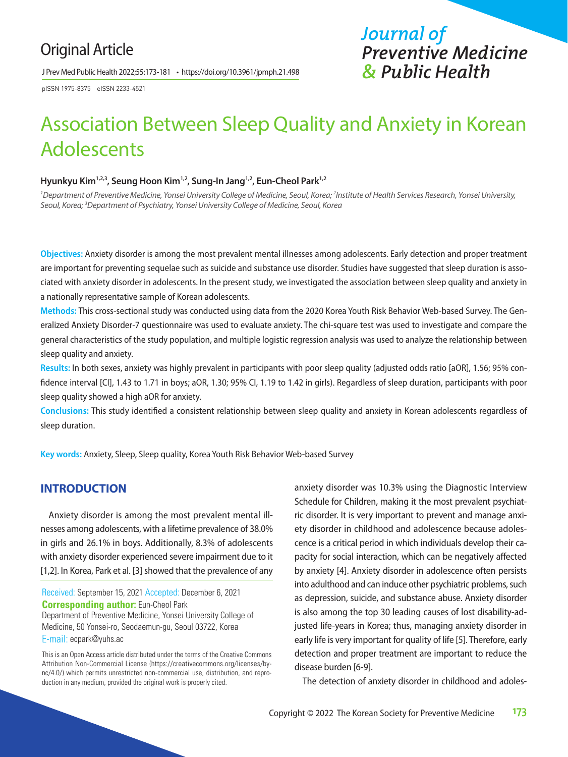# Original Article

J Prev Med Public Health 2022;55:173-181 • https://doi.org/10.3961/jpmph.21.498

pISSN 1975-8375 eISSN 2233-4521

# Association Between Sleep Quality and Anxiety in Korean Adolescents

#### **Hyunkyu Kim1,2,3, Seung Hoon Kim1,2, Sung-In Jang1,2, Eun-Cheol Park1,2**

<sup>1</sup> Department of Preventive Medicine, Yonsei University College of Medicine, Seoul, Korea; <sup>2</sup>Institute of Health Services Research, Yonsei University, *Seoul, Korea; 3 Department of Psychiatry, Yonsei University College of Medicine, Seoul, Korea*

**Objectives:** Anxiety disorder is among the most prevalent mental illnesses among adolescents. Early detection and proper treatment are important for preventing sequelae such as suicide and substance use disorder. Studies have suggested that sleep duration is associated with anxiety disorder in adolescents. In the present study, we investigated the association between sleep quality and anxiety in a nationally representative sample of Korean adolescents.

**Methods:** This cross-sectional study was conducted using data from the 2020 Korea Youth Risk Behavior Web-based Survey. The Generalized Anxiety Disorder-7 questionnaire was used to evaluate anxiety. The chi-square test was used to investigate and compare the general characteristics of the study population, and multiple logistic regression analysis was used to analyze the relationship between sleep quality and anxiety.

**Results:** In both sexes, anxiety was highly prevalent in participants with poor sleep quality (adjusted odds ratio [aOR], 1.56; 95% confidence interval [CI], 1.43 to 1.71 in boys; aOR, 1.30; 95% CI, 1.19 to 1.42 in girls). Regardless of sleep duration, participants with poor sleep quality showed a high aOR for anxiety.

**Conclusions:** This study identified a consistent relationship between sleep quality and anxiety in Korean adolescents regardless of sleep duration.

**Key words:** Anxiety, Sleep, Sleep quality, Korea Youth Risk Behavior Web-based Survey

# **INTRODUCTION**

Anxiety disorder is among the most prevalent mental illnesses among adolescents, with a lifetime prevalence of 38.0% in girls and 26.1% in boys. Additionally, 8.3% of adolescents with anxiety disorder experienced severe impairment due to it [1,2]. In Korea, Park et al. [3] showed that the prevalence of any

Received: September 15, 2021 Accepted: December 6, 2021 **Corresponding author:** Eun-Cheol Park Department of Preventive Medicine, Yonsei University College of Medicine, 50 Yonsei-ro, Seodaemun-gu, Seoul 03722, Korea E-mail: ecpark@yuhs.ac

This is an Open Access article distributed under the terms of the Creative Commons Attribution Non-Commercial License (https://creativecommons.org/licenses/bync/4.0/) which permits unrestricted non-commercial use, distribution, and reproduction in any medium, provided the original work is properly cited.

anxiety disorder was 10.3% using the Diagnostic Interview Schedule for Children, making it the most prevalent psychiatric disorder. It is very important to prevent and manage anxiety disorder in childhood and adolescence because adolescence is a critical period in which individuals develop their capacity for social interaction, which can be negatively affected by anxiety [4]. Anxiety disorder in adolescence often persists into adulthood and can induce other psychiatric problems, such as depression, suicide, and substance abuse. Anxiety disorder is also among the top 30 leading causes of lost disability-adjusted life-years in Korea; thus, managing anxiety disorder in early life is very important for quality of life [5]. Therefore, early detection and proper treatment are important to reduce the disease burden [6-9].

*Journal of* 

*Preventive Medicine* 

*& Public Health*

The detection of anxiety disorder in childhood and adoles-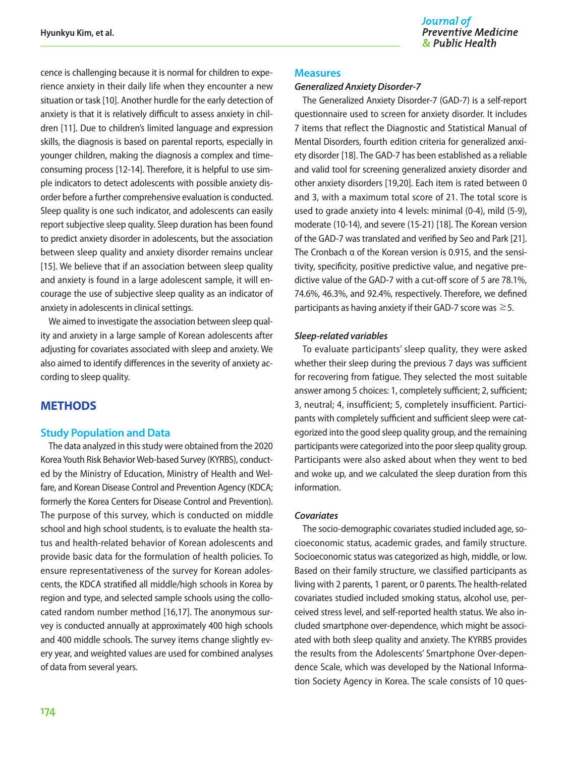cence is challenging because it is normal for children to experience anxiety in their daily life when they encounter a new situation or task [10]. Another hurdle for the early detection of anxiety is that it is relatively difficult to assess anxiety in children [11]. Due to children's limited language and expression skills, the diagnosis is based on parental reports, especially in younger children, making the diagnosis a complex and timeconsuming process [12-14]. Therefore, it is helpful to use simple indicators to detect adolescents with possible anxiety disorder before a further comprehensive evaluation is conducted. Sleep quality is one such indicator, and adolescents can easily report subjective sleep quality. Sleep duration has been found to predict anxiety disorder in adolescents, but the association between sleep quality and anxiety disorder remains unclear [15]. We believe that if an association between sleep quality and anxiety is found in a large adolescent sample, it will encourage the use of subjective sleep quality as an indicator of anxiety in adolescents in clinical settings.

We aimed to investigate the association between sleep quality and anxiety in a large sample of Korean adolescents after adjusting for covariates associated with sleep and anxiety. We also aimed to identify differences in the severity of anxiety according to sleep quality.

# **METHODS**

#### **Study Population and Data**

The data analyzed in this study were obtained from the 2020 Korea Youth Risk Behavior Web-based Survey (KYRBS), conducted by the Ministry of Education, Ministry of Health and Welfare, and Korean Disease Control and Prevention Agency (KDCA; formerly the Korea Centers for Disease Control and Prevention). The purpose of this survey, which is conducted on middle school and high school students, is to evaluate the health status and health-related behavior of Korean adolescents and provide basic data for the formulation of health policies. To ensure representativeness of the survey for Korean adolescents, the KDCA stratified all middle/high schools in Korea by region and type, and selected sample schools using the collocated random number method [16,17]. The anonymous survey is conducted annually at approximately 400 high schools and 400 middle schools. The survey items change slightly every year, and weighted values are used for combined analyses of data from several years.

#### **Measures**

#### *Generalized Anxiety Disorder-7*

The Generalized Anxiety Disorder-7 (GAD-7) is a self-report questionnaire used to screen for anxiety disorder. It includes 7 items that reflect the Diagnostic and Statistical Manual of Mental Disorders, fourth edition criteria for generalized anxiety disorder [18]. The GAD-7 has been established as a reliable and valid tool for screening generalized anxiety disorder and other anxiety disorders [19,20]. Each item is rated between 0 and 3, with a maximum total score of 21. The total score is used to grade anxiety into 4 levels: minimal (0-4), mild (5-9), moderate (10-14), and severe (15-21) [18]. The Korean version of the GAD-7 was translated and verified by Seo and Park [21]. The Cronbach α of the Korean version is 0.915, and the sensitivity, specificity, positive predictive value, and negative predictive value of the GAD-7 with a cut-off score of 5 are 78.1%, 74.6%, 46.3%, and 92.4%, respectively. Therefore, we defined participants as having anxiety if their GAD-7 score was  $\geq$ 5.

#### *Sleep-related variables*

To evaluate participants' sleep quality, they were asked whether their sleep during the previous 7 days was sufficient for recovering from fatigue. They selected the most suitable answer among 5 choices: 1, completely sufficient; 2, sufficient; 3, neutral; 4, insufficient; 5, completely insufficient. Participants with completely sufficient and sufficient sleep were categorized into the good sleep quality group, and the remaining participants were categorized into the poor sleep quality group. Participants were also asked about when they went to bed and woke up, and we calculated the sleep duration from this information.

#### *Covariates*

The socio-demographic covariates studied included age, socioeconomic status, academic grades, and family structure. Socioeconomic status was categorized as high, middle, or low. Based on their family structure, we classified participants as living with 2 parents, 1 parent, or 0 parents. The health-related covariates studied included smoking status, alcohol use, perceived stress level, and self-reported health status. We also included smartphone over-dependence, which might be associated with both sleep quality and anxiety. The KYRBS provides the results from the Adolescents' Smartphone Over-dependence Scale, which was developed by the National Information Society Agency in Korea. The scale consists of 10 ques-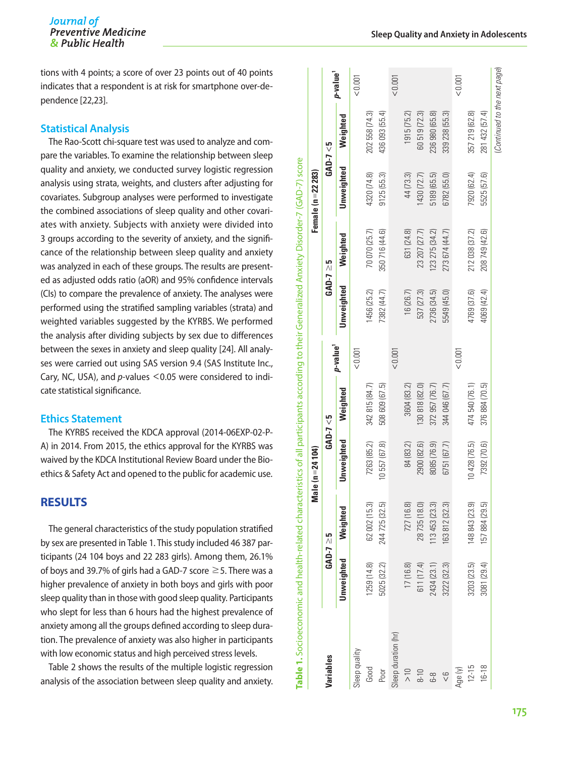#### Journal of **Preventive Medicine** & Public Health

tions with 4 points; a score of over 23 points out of 40 points indicates that a respondent is at risk for smartphone over-dependence [22,23].

#### **Statistical Analysis**

The Rao-Scott chi-square test was used to analyze and compare the variables. To examine the relationship between sleep quality and anxiety, we conducted survey logistic regression analysis using strata, weights, and clusters after adjusting for covariates. Subgroup analyses were performed to investigate the combined associations of sleep quality and other covariates with anxiety. Subjects with anxiety were divided into 3 groups according to the severity of anxiety, and the significance of the relationship between sleep quality and anxiety was analyzed in each of these groups. The results are presented as adjusted odds ratio (aOR) and 95% confidence intervals (CIs) to compare the prevalence of anxiety. The analyses were performed using the stratified sampling variables (strata) and weighted variables suggested by the KYRBS. We performed the analysis after dividing subjects by sex due to differences between the sexes in anxiety and sleep quality [24]. All analyses were carried out using SAS version 9.4 (SAS Institute Inc., Cary, NC, USA), and *p*-values <0.05 were considered to indicate statistical significance.

#### **Ethics Statement**

The KYRBS received the KDCA approval (2014-06EXP-02-P-A) in 2014. From 2015, the ethics approval for the KYRBS was waived by the KDCA Institutional Review Board under the Bioethics & Safety Act and opened to the public for academic use.

#### **RESULTS**

The general characteristics of the study population stratified by sex are presented in Table 1. This study included 46 387 participants (24 104 boys and 22 283 girls). Among them, 26.1% of boys and 39.7% of girls had a GAD-7 score  $\geq$  5. There was a higher prevalence of anxiety in both boys and girls with poor sleep quality than in those with good sleep quality. Participants who slept for less than 6 hours had the highest prevalence of anxiety among all the groups defined according to sleep duration. The prevalence of anxiety was also higher in participants with low economic status and high perceived stress levels.

Table 2 shows the results of the multiple logistic regression analysis of the association between sleep quality and anxiety.

|                     |             |                | Male (n = 24 104) |                |                      |             |                  | Female $(n = 22 283)$ |                              |                      |
|---------------------|-------------|----------------|-------------------|----------------|----------------------|-------------|------------------|-----------------------|------------------------------|----------------------|
| Variables           |             | $GAD-7 \geq 5$ |                   | $GAD - 7 < 5$  |                      |             | $GAD - 7 \geq 5$ |                       | $GAD - 7 < 5$                |                      |
|                     | Unweighted  | Weighted       | Unweighted        | Weighted       | p-value <sup>1</sup> | Unweighted  | Weighted         | Unweighted            | Weighted                     | p-value <sup>1</sup> |
| Sleep quality       |             |                |                   |                | 1001                 |             |                  |                       |                              | &0.001               |
| Good                | (259(14.8)) | 62 002 (15.3)  | 7263 (85.2)       | 342 815 (84.7) |                      | 1456 (25.2) | 70 070 (25.7)    | 4320 (74.8)           | 202 558 (74.3)               |                      |
| Poor                | 5025 (32.2) | 244 725 (32.5) | 10557 (67.8)      | 508 609 (67.5) |                      | 7382 (44.7) | 350 716 (44.6)   | 9125(55.3)            | 436 093 (55.4)               |                      |
| Sleep duration (hr) |             |                |                   |                | 10001                |             |                  |                       |                              | 1001                 |
| $\frac{10}{10}$     | 17 (16.8)   | 727 (16.8)     | 84 (83.2)         | 3604 (83.2)    |                      | 16(26.7)    | 631 (24.8)       | 44 (73.3)             | 1915 (75.2)                  |                      |
| $8-10$              | 611 (17.4)  | 28735 (18.0)   | 2900 (82.6)       | 130 818 (82.0) |                      | 537 (27.3)  | 23 207 (27.7)    | 1430 (72.7)           | 60 519 (72.3)                |                      |
| 6-8                 | 2434 (23.1) | 113453 (23.3)  | 8085 (76.9)       | 372 957 (76.7) |                      | 2736 (34.5) | 123 275 (34.2)   | 5189 (65.5)           | 236 980 (65.8)               |                      |
| $\frac{6}{5}$       | 3222 (32.3) | 163 812 (32.3) | 6751 (67.7)       | 344 046 (67.7) |                      | 5549 (45.0) | 273 674 (44.7)   | 6782 (55.0)           | 339 238 (55.3)               |                      |
| Age (y)             |             |                |                   |                | 10000                |             |                  |                       |                              | < 0.001              |
| $12 - 15$           | 3203 (23.5) | 148 843 (23.9) | 10428 (76.5)      | 474 540 (76.1) |                      | 4769 (37.6) | 212 038 (37.2)   | 7920 (62.4)           | 357 219 (62.8)               |                      |
| 16-18               | 3081 (29.4) | 157 884 (29.5) | 7392 (70.6)       | 376 884 (70.5) |                      | 4069 (42.4) | 208 749 (42.6)   | 5525 (57.6)           | 281 432 (57.4)               |                      |
|                     |             |                |                   |                |                      |             |                  |                       | (Continued to the next page) |                      |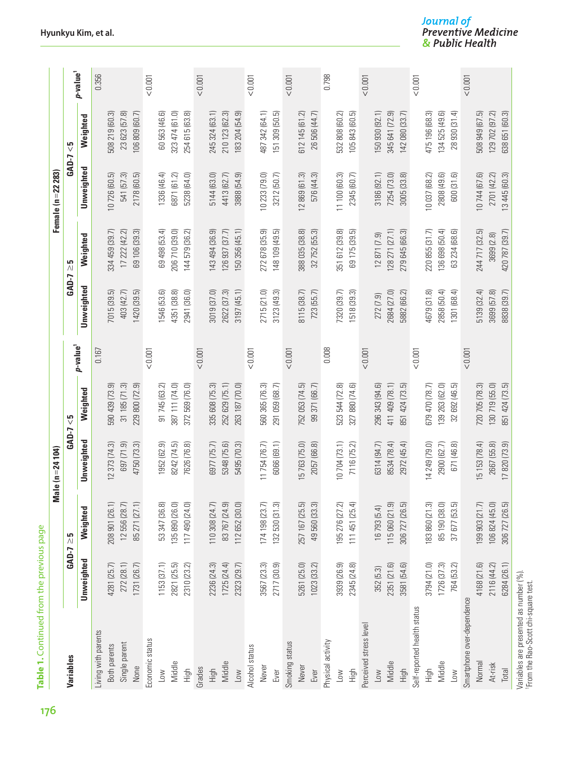| Table 1. Continued from the previous page |                     |                                      |                     |                           |                      |                     |                    |                       |                           |                      |
|-------------------------------------------|---------------------|--------------------------------------|---------------------|---------------------------|----------------------|---------------------|--------------------|-----------------------|---------------------------|----------------------|
|                                           |                     |                                      | Male (n = 24 104)   |                           |                      |                     |                    | Female ( $n = 2223$ ) |                           |                      |
| Variables                                 | GAD-7<br>Unweighted | Weighted<br>G<br>$\overline{\wedge}$ | GAD-7<br>Unweighted | Weighted<br>$\frac{5}{2}$ | p-value <sup>1</sup> | GAD-7<br>Unweighted | Weighted<br>ي<br>ا | GAD-7<br>Unweighted   | Weighted<br>$\frac{5}{2}$ | p-value <sup>1</sup> |
| Living with parents                       |                     |                                      |                     |                           | 0.167                |                     |                    |                       |                           | 0.356                |
| Both parents                              | 4281 (25.7)         | 208 901 (26.1)                       | 12 373 (74.3)       | 590 439 (73.9)            |                      | 7015 (39.5)         | 334 459 (39.7)     | 10726 (60.5)          | 508 219 (60.3)            |                      |
| Single parent                             | 272 (28.1)          | 12 556 (28.7)                        | 697 (71.9)          | 31185(71.3)               |                      | 403 (42.7)          | 17 222 (42.2)      | 541 (57.3)            | 23 623 (57.8)             |                      |
| None                                      | 1731 (26.7)         | 85 271 (27.1)                        | 4750 (73.3)         | 229 800 (72.9)            |                      | 1420 (39.5)         | 69 106 (39.3)      | 2178 (60.5)           | 106 809 (60.7)            |                      |
| Economic status                           |                     |                                      |                     |                           | 10000                |                     |                    |                       |                           | 10000                |
| Low                                       | 1153(37.1)          | 53 347 (36.8)                        | 1952 (62.9)         | 91 745 (63.2)             |                      | 546 (53.6)          | 69 498 (53.4)      | 1336 (46.4)           | 60 563 (46.6)             |                      |
| Middle                                    | 2821 (25.5)         | 35 890 (26.0)                        | 8242 (74.5)         | 387 111 (74.0)            |                      | 4351 (38.8)         | 206 710 (39.0)     | 6871 (61.2)           | 323 474 (61.0)            |                      |
| High                                      | 2310 (23.2)         | 117 490 (24.0)                       | 7626 (76.8)         | 372 569 (76.0)            |                      | 2941 (36.0)         | 144 579 (36.2)     | 5238 (64.0)           | 254 615 (63.8)            |                      |
| Grades                                    |                     |                                      |                     |                           | < 0.001              |                     |                    |                       |                           | 10000                |
| High                                      | 2236 (24.3)         | 110 308 (24.7)                       | 6977 (75.7)         | 335 608 (75.3)            |                      | 3019 (37.0)         | 143 494 (36.9)     | 5144 (63.0)           | 245 324 (63.1)            |                      |
| Middle                                    | 1725(24.4)          | 83 767 (24.9)                        | 5348 (75.6)         | 252 629 (75.1)            |                      | 2622 (37.3)         | 126 937 (37.7)     | 4413 (62.7)           | 210 123 (62.3)            |                      |
| Low                                       | 2323 (29.7)         | 112 652 (30.0)                       | 5495 (70.3)         | 263 187 (70.0)            |                      | 3197(45.1)          | 150 356 (45.1)     | 3888 (54.9)           | 183 204 (54.9)            |                      |
| Alcohol status                            |                     |                                      |                     |                           | < 0.001              |                     |                    |                       |                           | 10001                |
| Never                                     | 3567 (23.3)         | 174 198 (23.7)                       | 11754 (76.7)        | 560 365 (76.3)            |                      | 2715(21.0)          | 272 678 (35.9)     | 10233 (79.0)          | 487 342 (64.1)            |                      |
| Ever                                      | 2717 (30.9)         | 132 530 (31.3)                       | 6066 (69.1)         | 291 059 (68.7             |                      | 3123(49.3)          | 148 109 (49.5)     | 3212 (50.7)           | 151 309 (50.5)            |                      |
| Smoking status                            |                     |                                      |                     |                           | < 0.001              |                     |                    |                       |                           | 10001                |
| Never                                     | 5261 (25.0)         | 257 167 (25.5)                       | 5763 (75.0)         | 752 053 (74.5)            |                      | 8115 (38.7)         | 388 035 (38.8)     | 12869 (61.3)          | 512 145 (61.2)            |                      |
| Ever                                      | 1023 (33.2)         | 49 560 (33.3)                        | 2057 (66.8)         | 99 371 (66.7)             |                      | 723 (55.7)          | 32 752 (55.3)      | 576 (44.3)            | 26 506 (44.7)             |                      |
| Physical activity                         |                     |                                      |                     |                           | 0.008                |                     |                    |                       |                           | 0.798                |
| Low                                       | 3939 (26.9)         | 195 276 (27.2)                       | 10 704 (73.1)       | 523 544 (72.8)            |                      | 7320 (39.7)         | 351 612 (39.8)     | 11 100 (60.3)         | 532 808 (60.2)            |                      |
| High                                      | 2345 (24.8)         | 111 451 (25.4)                       | 7116 (75.2)         | 327 880 (74.6)            |                      | 1518 (39.3)         | 69 175 (39.5)      | 2345 (60.7)           | 105 843 (60.5)            |                      |
| Perceived stress level                    |                     |                                      |                     |                           | < 0.001              |                     |                    |                       |                           | 10001                |
| Low                                       | 352 (5.3)           | 16 793 (5.4)                         | 6314 (94.7)         | 296 343 (94.6)            |                      | 272 (7.9)           | 12871(7.9)         | 3186 (92.1)           | 150 930 (92.1)            |                      |
| Middle                                    | 2351 (21.6)         | 115 060 (21.9)                       | 8534 (78.4)         | 411 409 (78.1)            |                      | 2684 (27.0)         | 128 271 (27.1)     | 7254 (73.0)           | 345 641 (72.9)            |                      |
| High                                      | 3581 (54.6)         | 306 727 (26.5)                       | 2972 (45.4)         | 851 424 (73.5)            |                      | 5882 (66.2)         | 279 645 (66.3)     | 3005 (33.8)           | 142 080 (33.7)            |                      |
| Self-reported health status               |                     |                                      |                     |                           | < 0.001              |                     |                    |                       |                           | 10001                |
| High                                      | 3794 (21.0)         | 83 860 (21.3)                        | 14 249 (79.0)       | 679 470 (78.7)            |                      | 4679 (31.8)         | 220 855 (31.7)     | 10037 (68.2)          | 175 196 (68.3)            |                      |
| Middle                                    | 1726 (37.3)         | 85 190 (38.0)                        | 2900 (62.7)         | 139 263 (62.0)            |                      | 2858 (50.4)         | 136 698 (50.4)     | 2808 (49.6)           | 134 525 (49.6)            |                      |
| Low                                       | 764 (53.2)          | 37 677 (53.5)                        | 671 (46.8)          | 32 692 (46.5)             |                      | (89) 1301           | 63 234 (68.6)      | 600 (31.6)            | 28 930 (31.4)             |                      |
| Smartphone over-dependence                |                     |                                      |                     |                           | < 0.001              |                     |                    |                       |                           | 1001                 |
| Normal                                    | 4168 (21.6)         | 199 903 (21.7)                       | 5 153 (78.4)        | 720 705 (78.3)            |                      | 5139 (32.4)         | 244 717 (32.5)     | 10744 (67.6)          | 508 949 (67.5)            |                      |
| At-risk                                   | 2116 (44.2)         | 106 824 (45.0)                       | 2667 (55.8)         | 130 719 (55.0)            |                      | 3699 (57.8)         | 3699 (2.8)         | 2701 (42.2)           | 129 702 (97.2)            |                      |
| Total                                     | 6284 (26.1)         | 306 727 (26.5)                       | 17820 (73.9)        | 851 424 (73.5)            |                      | 8838 (39.7)         | 420 787 (39.7)     | 13445 (60.3)          | 638 651 (60.3)            |                      |
| Variables are presented as number (%).    |                     |                                      |                     |                           |                      |                     |                    |                       |                           |                      |

Journal of<br>Preventive Medicine<br>& Public Health

From the Rao-Scott chi-square test.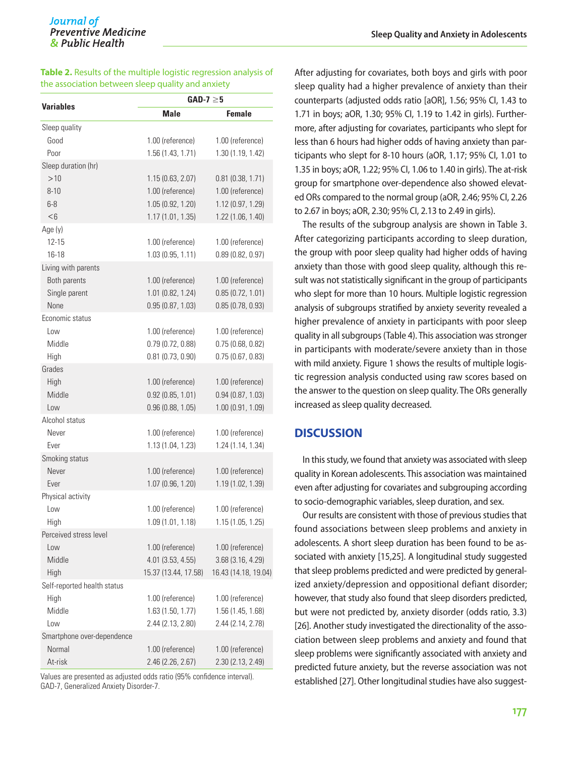| Table 2. Results of the multiple logistic regression analysis of |  |
|------------------------------------------------------------------|--|
| the association between sleep quality and anxiety                |  |

| <b>Variables</b>            | $GAD-7 \geq 5$       |                      |
|-----------------------------|----------------------|----------------------|
|                             | <b>Male</b>          | <b>Female</b>        |
| Sleep quality               |                      |                      |
| Good                        | 1.00 (reference)     | 1.00 (reference)     |
| Poor                        | 1.56 (1.43, 1.71)    | 1.30 (1.19, 1.42)    |
| Sleep duration (hr)         |                      |                      |
| >10                         | 1.15(0.63, 2.07)     | 0.81(0.38, 1.71)     |
| $8 - 10$                    | 1.00 (reference)     | 1.00 (reference)     |
| $6 - 8$                     | 1.05(0.92, 1.20)     | 1.12 (0.97, 1.29)    |
| < 6                         | 1.17(1.01, 1.35)     | 1.22 (1.06, 1.40)    |
| Age (y)                     |                      |                      |
| $12 - 15$                   | 1.00 (reference)     | 1.00 (reference)     |
| 16-18                       | 1.03(0.95, 1.11)     | 0.89(0.82, 0.97)     |
| Living with parents         |                      |                      |
| Both parents                | 1.00 (reference)     | 1.00 (reference)     |
| Single parent               | 1.01(0.82, 1.24)     | 0.85(0.72, 1.01)     |
| None                        | 0.95(0.87, 1.03)     | 0.85(0.78, 0.93)     |
| Economic status             |                      |                      |
| Low                         | 1.00 (reference)     | 1.00 (reference)     |
| Middle                      | 0.79(0.72, 0.88)     | 0.75(0.68, 0.82)     |
| High                        | $0.81$ (0.73, 0.90)  | 0.75(0.67, 0.83)     |
| Grades                      |                      |                      |
| High                        | 1.00 (reference)     | 1.00 (reference)     |
| Middle                      | 0.92(0.85, 1.01)     | 0.94(0.87, 1.03)     |
| Low                         | 0.96(0.88, 1.05)     | 1.00(0.91, 1.09)     |
| Alcohol status              |                      |                      |
| Never                       | 1.00 (reference)     | 1.00 (reference)     |
| Ever                        | 1.13 (1.04, 1.23)    | 1.24 (1.14, 1.34)    |
| Smoking status              |                      |                      |
| Never                       | 1.00 (reference)     | 1.00 (reference)     |
| Ever                        | 1.07 (0.96, 1.20)    | 1.19 (1.02, 1.39)    |
| Physical activity           |                      |                      |
| Low                         | 1.00 (reference)     | 1.00 (reference)     |
| High                        | 1.09 (1.01, 1.18)    | 1.15 (1.05, 1.25)    |
| Perceived stress level      |                      |                      |
| Low                         | 1.00 (reference)     | 1.00 (reference)     |
| Middle                      | 4.01 (3.53, 4.55)    | 3.68 (3.16, 4.29)    |
| High                        | 15.37 (13.44, 17.58) | 16.43 (14.18, 19.04) |
| Self-reported health status |                      |                      |
| High                        | 1.00 (reference)     | 1.00 (reference)     |
| Middle                      | 1.63(1.50, 1.77)     | 1.56 (1.45, 1.68)    |
| Low                         | 2.44 (2.13, 2.80)    | 2.44 (2.14, 2.78)    |
| Smartphone over-dependence  |                      |                      |
| Normal                      | 1.00 (reference)     | 1.00 (reference)     |
| At-risk                     | 2.46 (2.26, 2.67)    | 2.30 (2.13, 2.49)    |

Values are presented as adjusted odds ratio (95% confidence interval). GAD-7, Generalized Anxiety Disorder-7.

After adjusting for covariates, both boys and girls with poor sleep quality had a higher prevalence of anxiety than their counterparts (adjusted odds ratio [aOR], 1.56; 95% CI, 1.43 to 1.71 in boys; aOR, 1.30; 95% CI, 1.19 to 1.42 in girls). Furthermore, after adjusting for covariates, participants who slept for less than 6 hours had higher odds of having anxiety than participants who slept for 8-10 hours (aOR, 1.17; 95% CI, 1.01 to 1.35 in boys; aOR, 1.22; 95% CI, 1.06 to 1.40 in girls). The at-risk group for smartphone over-dependence also showed elevated ORs compared to the normal group (aOR, 2.46; 95% CI, 2.26 to 2.67 in boys; aOR, 2.30; 95% CI, 2.13 to 2.49 in girls).

The results of the subgroup analysis are shown in Table 3. After categorizing participants according to sleep duration, the group with poor sleep quality had higher odds of having anxiety than those with good sleep quality, although this result was not statistically significant in the group of participants who slept for more than 10 hours. Multiple logistic regression analysis of subgroups stratified by anxiety severity revealed a higher prevalence of anxiety in participants with poor sleep quality in all subgroups (Table 4). This association was stronger in participants with moderate/severe anxiety than in those with mild anxiety. Figure 1 shows the results of multiple logistic regression analysis conducted using raw scores based on the answer to the question on sleep quality. The ORs generally increased as sleep quality decreased.

# **DISCUSSION**

In this study, we found that anxiety was associated with sleep quality in Korean adolescents. This association was maintained even after adjusting for covariates and subgrouping according to socio-demographic variables, sleep duration, and sex.

Our results are consistent with those of previous studies that found associations between sleep problems and anxiety in adolescents. A short sleep duration has been found to be associated with anxiety [15,25]. A longitudinal study suggested that sleep problems predicted and were predicted by generalized anxiety/depression and oppositional defiant disorder; however, that study also found that sleep disorders predicted, but were not predicted by, anxiety disorder (odds ratio, 3.3) [26]. Another study investigated the directionality of the association between sleep problems and anxiety and found that sleep problems were significantly associated with anxiety and predicted future anxiety, but the reverse association was not established [27]. Other longitudinal studies have also suggest-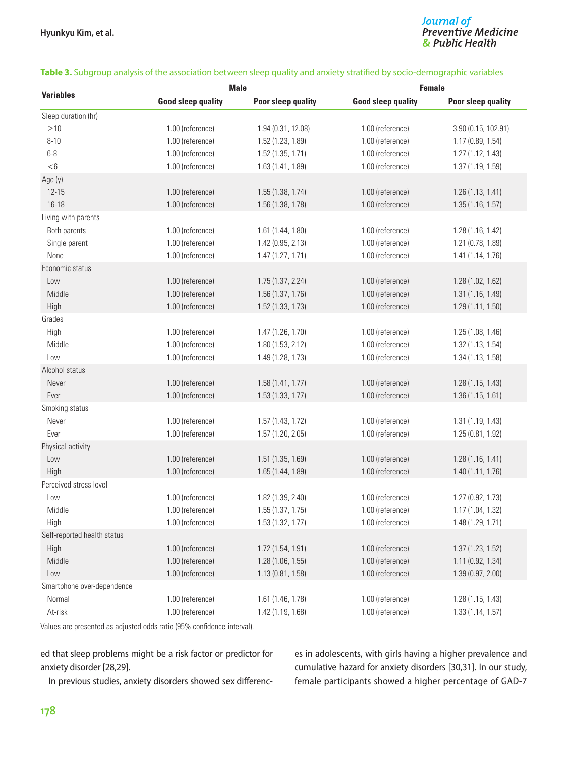# **Journal of**<br>Preventive Medicine & Public Health

|                             |                           | <b>Male</b>        | <b>Female</b>             |                     |
|-----------------------------|---------------------------|--------------------|---------------------------|---------------------|
| <b>Variables</b>            | <b>Good sleep quality</b> | Poor sleep quality | <b>Good sleep quality</b> | Poor sleep quality  |
| Sleep duration (hr)         |                           |                    |                           |                     |
| >10                         | 1.00 (reference)          | 1.94 (0.31, 12.08) | 1.00 (reference)          | 3.90 (0.15, 102.91) |
| $8 - 10$                    | 1.00 (reference)          | 1.52 (1.23, 1.89)  | 1.00 (reference)          | 1.17 (0.89, 1.54)   |
| $6-8$                       | 1.00 (reference)          | 1.52(1.35, 1.71)   | 1.00 (reference)          | 1.27 (1.12, 1.43)   |
| < 6                         | 1.00 (reference)          | 1.63 (1.41, 1.89)  | 1.00 (reference)          | 1.37 (1.19, 1.59)   |
| Age (y)                     |                           |                    |                           |                     |
| $12 - 15$                   | 1.00 (reference)          | 1.55 (1.38, 1.74)  | 1.00 (reference)          | 1.26 (1.13, 1.41)   |
| $16 - 18$                   | 1.00 (reference)          | 1.56 (1.38, 1.78)  | 1.00 (reference)          | 1.35(1.16, 1.57)    |
| Living with parents         |                           |                    |                           |                     |
| Both parents                | 1.00 (reference)          | 1.61 (1.44, 1.80)  | 1.00 (reference)          | 1.28 (1.16, 1.42)   |
| Single parent               | 1.00 (reference)          | 1.42 (0.95, 2.13)  | 1.00 (reference)          | 1.21 (0.78, 1.89)   |
| None                        | 1.00 (reference)          | 1.47 (1.27, 1.71)  | 1.00 (reference)          | 1.41 (1.14, 1.76)   |
| Economic status             |                           |                    |                           |                     |
| Low                         | 1.00 (reference)          | 1.75 (1.37, 2.24)  | 1.00 (reference)          | 1.28 (1.02, 1.62)   |
| Middle                      | 1.00 (reference)          | 1.56 (1.37, 1.76)  | 1.00 (reference)          | 1.31 (1.16, 1.49)   |
| High                        | 1.00 (reference)          | 1.52 (1.33, 1.73)  | 1.00 (reference)          | 1.29 (1.11, 1.50)   |
| Grades                      |                           |                    |                           |                     |
| High                        | 1.00 (reference)          | 1.47 (1.26, 1.70)  | 1.00 (reference)          | 1.25 (1.08, 1.46)   |
| Middle                      | 1.00 (reference)          | 1.80 (1.53, 2.12)  | 1.00 (reference)          | 1.32 (1.13, 1.54)   |
| Low                         | 1.00 (reference)          | 1.49 (1.28, 1.73)  | 1.00 (reference)          | 1.34 (1.13, 1.58)   |
| Alcohol status              |                           |                    |                           |                     |
| Never                       | 1.00 (reference)          | 1.58 (1.41, 1.77)  | 1.00 (reference)          | 1.28 (1.15, 1.43)   |
| Ever                        | 1.00 (reference)          | 1.53 (1.33, 1.77)  | 1.00 (reference)          | 1.36 (1.15, 1.61)   |
| Smoking status              |                           |                    |                           |                     |
| Never                       | 1.00 (reference)          | 1.57 (1.43, 1.72)  | 1.00 (reference)          | 1.31 (1.19, 1.43)   |
| Ever                        | 1.00 (reference)          | 1.57 (1.20, 2.05)  | 1.00 (reference)          | 1.25 (0.81, 1.92)   |
| Physical activity           |                           |                    |                           |                     |
| Low                         | 1.00 (reference)          | 1.51 (1.35, 1.69)  | 1.00 (reference)          | 1.28(1.16, 1.41)    |
| High                        | 1.00 (reference)          | 1.65 (1.44, 1.89)  | 1.00 (reference)          | 1.40 (1.11, 1.76)   |
| Perceived stress level      |                           |                    |                           |                     |
| Low                         | 1.00 (reference)          | 1.82 (1.39, 2.40)  | 1.00 (reference)          | 1.27 (0.92, 1.73)   |
| Middle                      | 1.00 (reference)          | 1.55 (1.37, 1.75)  | 1.00 (reference)          | 1.17 (1.04, 1.32)   |
| High                        | 1.00 (reference)          | 1.53 (1.32, 1.77)  | 1.00 (reference)          | 1.48 (1.29, 1.71)   |
| Self-reported health status |                           |                    |                           |                     |
| High                        | 1.00 (reference)          | 1.72 (1.54, 1.91)  | 1.00 (reference)          | 1.37 (1.23, 1.52)   |
| Middle                      | 1.00 (reference)          | 1.28 (1.06, 1.55)  | 1.00 (reference)          | 1.11 (0.92, 1.34)   |
| Low                         | 1.00 (reference)          | 1.13 (0.81, 1.58)  | 1.00 (reference)          | 1.39 (0.97, 2.00)   |
| Smartphone over-dependence  |                           |                    |                           |                     |
| Normal                      | 1.00 (reference)          | 1.61 (1.46, 1.78)  | 1.00 (reference)          | 1.28(1.15, 1.43)    |
| At-risk                     | 1.00 (reference)          | 1.42 (1.19, 1.68)  | 1.00 (reference)          | 1.33 (1.14, 1.57)   |

#### **Table 3.** Subgroup analysis of the association between sleep quality and anxiety stratified by socio-demographic variables

Values are presented as adjusted odds ratio (95% confidence interval).

ed that sleep problems might be a risk factor or predictor for anxiety disorder [28,29].

In previous studies, anxiety disorders showed sex differenc-

es in adolescents, with girls having a higher prevalence and cumulative hazard for anxiety disorders [30,31]. In our study, female participants showed a higher percentage of GAD-7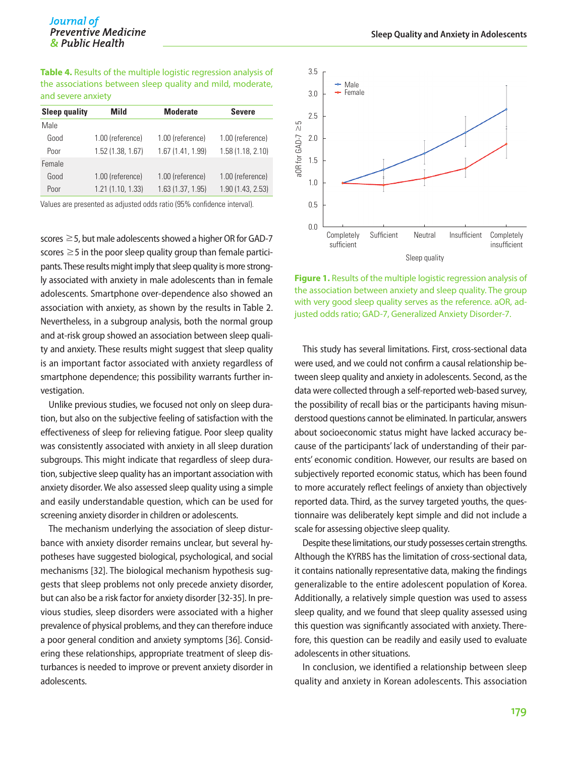**Table 4.** Results of the multiple logistic regression analysis of the associations between sleep quality and mild, moderate, and severe anxiety

| <b>Sleep quality</b> | Mild             | <b>Moderate</b>   | <b>Severe</b>     |
|----------------------|------------------|-------------------|-------------------|
| Male                 |                  |                   |                   |
| Good                 | 1.00 (reference) | 1.00 (reference)  | 1.00 (reference)  |
| Poor                 | 1.52(1.38, 1.67) | 1.67(1.41, 1.99)  | 1.58(1.18, 2.10)  |
| Female               |                  |                   |                   |
| Good                 | 1.00 (reference) | 1.00 (reference)  | 1.00 (reference)  |
| Poor                 | 1.21(1.10, 1.33) | 1.63 (1.37, 1.95) | 1.90 (1.43, 2.53) |

Values are presented as adjusted odds ratio (95% confidence interval).

scores ≥5, but male adolescents showed a higher OR for GAD-7 scores  $\geq$  5 in the poor sleep quality group than female participants. These results might imply that sleep quality is more strongly associated with anxiety in male adolescents than in female adolescents. Smartphone over-dependence also showed an association with anxiety, as shown by the results in Table 2. Nevertheless, in a subgroup analysis, both the normal group and at-risk group showed an association between sleep quality and anxiety. These results might suggest that sleep quality is an important factor associated with anxiety regardless of smartphone dependence; this possibility warrants further investigation.

Unlike previous studies, we focused not only on sleep duration, but also on the subjective feeling of satisfaction with the effectiveness of sleep for relieving fatigue. Poor sleep quality was consistently associated with anxiety in all sleep duration subgroups. This might indicate that regardless of sleep duration, subjective sleep quality has an important association with anxiety disorder. We also assessed sleep quality using a simple and easily understandable question, which can be used for screening anxiety disorder in children or adolescents.

The mechanism underlying the association of sleep disturbance with anxiety disorder remains unclear, but several hypotheses have suggested biological, psychological, and social mechanisms [32]. The biological mechanism hypothesis suggests that sleep problems not only precede anxiety disorder, but can also be a risk factor for anxiety disorder [32-35]. In previous studies, sleep disorders were associated with a higher prevalence of physical problems, and they can therefore induce a poor general condition and anxiety symptoms [36]. Considering these relationships, appropriate treatment of sleep disturbances is needed to improve or prevent anxiety disorder in adolescents.



**Figure 1.** Results of the multiple logistic regression analysis of the association between anxiety and sleep quality. The group with very good sleep quality serves as the reference. aOR, adjusted odds ratio; GAD-7, Generalized Anxiety Disorder-7.

This study has several limitations. First, cross-sectional data were used, and we could not confirm a causal relationship between sleep quality and anxiety in adolescents. Second, as the data were collected through a self-reported web-based survey, the possibility of recall bias or the participants having misunderstood questions cannot be eliminated. In particular, answers about socioeconomic status might have lacked accuracy because of the participants' lack of understanding of their parents' economic condition. However, our results are based on subjectively reported economic status, which has been found to more accurately reflect feelings of anxiety than objectively reported data. Third, as the survey targeted youths, the questionnaire was deliberately kept simple and did not include a scale for assessing objective sleep quality.

Despite these limitations, our study possesses certain strengths. Although the KYRBS has the limitation of cross-sectional data, it contains nationally representative data, making the findings generalizable to the entire adolescent population of Korea. Additionally, a relatively simple question was used to assess sleep quality, and we found that sleep quality assessed using this question was significantly associated with anxiety. Therefore, this question can be readily and easily used to evaluate adolescents in other situations.

In conclusion, we identified a relationship between sleep quality and anxiety in Korean adolescents. This association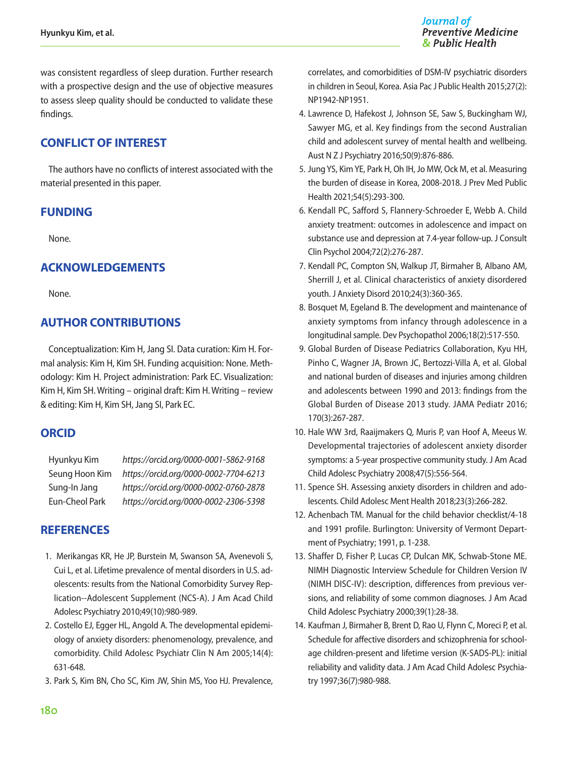was consistent regardless of sleep duration. Further research with a prospective design and the use of objective measures to assess sleep quality should be conducted to validate these findings.

# **CONFLICT OF INTEREST**

The authors have no conflicts of interest associated with the material presented in this paper.

# **FUNDING**

None.

# **ACKNOWLEDGEMENTS**

None.

# **AUTHOR CONTRIBUTIONS**

Conceptualization: Kim H, Jang SI. Data curation: Kim H. Formal analysis: Kim H, Kim SH. Funding acquisition: None. Methodology: Kim H. Project administration: Park EC. Visualization: Kim H, Kim SH. Writing – original draft: Kim H. Writing – review & editing: Kim H, Kim SH, Jang SI, Park EC.

# **ORCID**

| Hyunkyu Kim    | https://orcid.org/0000-0001-5862-9168 |
|----------------|---------------------------------------|
| Seung Hoon Kim | https://orcid.org/0000-0002-7704-6213 |
| Sung-In Jang   | https://orcid.org/0000-0002-0760-2878 |
| Eun-Cheol Park | https://orcid.org/0000-0002-2306-5398 |

# **REFERENCES**

- 1. Merikangas KR, He JP, Burstein M, Swanson SA, Avenevoli S, Cui L, et al. Lifetime prevalence of mental disorders in U.S. adolescents: results from the National Comorbidity Survey Replication--Adolescent Supplement (NCS-A). J Am Acad Child Adolesc Psychiatry 2010;49(10):980-989.
- 2. Costello EJ, Egger HL, Angold A. The developmental epidemiology of anxiety disorders: phenomenology, prevalence, and comorbidity. Child Adolesc Psychiatr Clin N Am 2005;14(4): 631-648.
- 3. Park S, Kim BN, Cho SC, Kim JW, Shin MS, Yoo HJ. Prevalence,

correlates, and comorbidities of DSM-IV psychiatric disorders in children in Seoul, Korea. Asia Pac J Public Health 2015;27(2): NP1942-NP1951.

- 4. Lawrence D, Hafekost J, Johnson SE, Saw S, Buckingham WJ, Sawyer MG, et al. Key findings from the second Australian child and adolescent survey of mental health and wellbeing. Aust N Z J Psychiatry 2016;50(9):876-886.
- 5. Jung YS, Kim YE, Park H, Oh IH, Jo MW, Ock M, et al. Measuring the burden of disease in Korea, 2008-2018. J Prev Med Public Health 2021;54(5):293-300.
- 6. Kendall PC, Safford S, Flannery-Schroeder E, Webb A. Child anxiety treatment: outcomes in adolescence and impact on substance use and depression at 7.4-year follow-up. J Consult Clin Psychol 2004;72(2):276-287.
- 7. Kendall PC, Compton SN, Walkup JT, Birmaher B, Albano AM, Sherrill J, et al. Clinical characteristics of anxiety disordered youth. J Anxiety Disord 2010;24(3):360-365.
- 8. Bosquet M, Egeland B. The development and maintenance of anxiety symptoms from infancy through adolescence in a longitudinal sample. Dev Psychopathol 2006;18(2):517-550.
- 9. Global Burden of Disease Pediatrics Collaboration, Kyu HH, Pinho C, Wagner JA, Brown JC, Bertozzi-Villa A, et al. Global and national burden of diseases and injuries among children and adolescents between 1990 and 2013: findings from the Global Burden of Disease 2013 study. JAMA Pediatr 2016; 170(3):267-287.
- 10. Hale WW 3rd, Raaijmakers Q, Muris P, van Hoof A, Meeus W. Developmental trajectories of adolescent anxiety disorder symptoms: a 5-year prospective community study. J Am Acad Child Adolesc Psychiatry 2008;47(5):556-564.
- 11. Spence SH. Assessing anxiety disorders in children and adolescents. Child Adolesc Ment Health 2018;23(3):266-282.
- 12. Achenbach TM. Manual for the child behavior checklist/4-18 and 1991 profile. Burlington: University of Vermont Department of Psychiatry; 1991, p. 1-238.
- 13. Shaffer D, Fisher P, Lucas CP, Dulcan MK, Schwab-Stone ME. NIMH Diagnostic Interview Schedule for Children Version IV (NIMH DISC-IV): description, differences from previous versions, and reliability of some common diagnoses. J Am Acad Child Adolesc Psychiatry 2000;39(1):28-38.
- 14. Kaufman J, Birmaher B, Brent D, Rao U, Flynn C, Moreci P, et al. Schedule for affective disorders and schizophrenia for schoolage children-present and lifetime version (K-SADS-PL): initial reliability and validity data. J Am Acad Child Adolesc Psychiatry 1997;36(7):980-988.